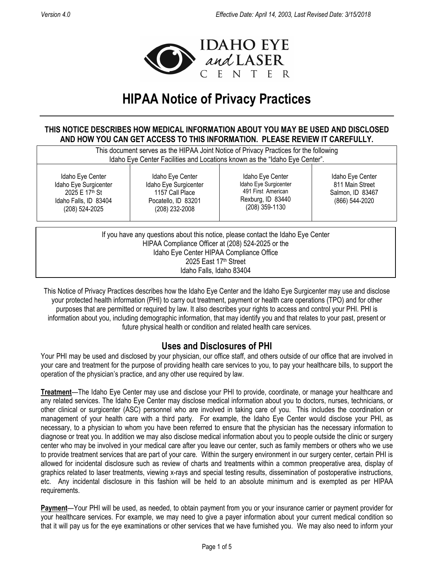

# **HIPAA Notice of Privacy Practices**

### **THIS NOTICE DESCRIBES HOW MEDICAL INFORMATION ABOUT YOU MAY BE USED AND DISCLOSED AND HOW YOU CAN GET ACCESS TO THIS INFORMATION. PLEASE REVIEW IT CAREFULLY.**

This document serves as the HIPAA Joint Notice of Privacy Practices for the following Idaho Eye Center Facilities and Locations known as the "Idaho Eye Center".

Idaho Eye Center Idaho Eye Surgicenter 2025 E 17th St Idaho Falls, ID 83404 (208) 524-2025

Idaho Eye Center Idaho Eye Surgicenter 1157 Call Place Pocatello, ID 83201 (208) 232-2008

Idaho Eye Center Idaho Eye Surgicenter 491 First American Rexburg, ID 83440 (208) 359-1130

Idaho Eye Center 811 Main Street Salmon, ID 83467 (866) 544-2020

If you have any questions about this notice, please contact the Idaho Eye Center HIPAA Compliance Officer at (208) 524-2025 or the Idaho Eye Center HIPAA Compliance Office 2025 East 17th Street Idaho Falls, Idaho 83404

This Notice of Privacy Practices describes how the Idaho Eye Center and the Idaho Eye Surgicenter may use and disclose your protected health information (PHI) to carry out treatment, payment or health care operations (TPO) and for other purposes that are permitted or required by law. It also describes your rights to access and control your PHI. PHI is information about you, including demographic information, that may identify you and that relates to your past, present or future physical health or condition and related health care services.

## **Uses and Disclosures of PHI**

Your PHI may be used and disclosed by your physician, our office staff, and others outside of our office that are involved in your care and treatment for the purpose of providing health care services to you, to pay your healthcare bills, to support the operation of the physician's practice, and any other use required by law.

**Treatment**—The Idaho Eye Center may use and disclose your PHI to provide, coordinate, or manage your healthcare and any related services. The Idaho Eye Center may disclose medical information about you to doctors, nurses, technicians, or other clinical or surgicenter (ASC) personnel who are involved in taking care of you. This includes the coordination or management of your health care with a third party. For example, the Idaho Eye Center would disclose your PHI, as necessary, to a physician to whom you have been referred to ensure that the physician has the necessary information to diagnose or treat you. In addition we may also disclose medical information about you to people outside the clinic or surgery center who may be involved in your medical care after you leave our center, such as family members or others who we use to provide treatment services that are part of your care. Within the surgery environment in our surgery center, certain PHI is allowed for incidental disclosure such as review of charts and treatments within a common preoperative area, display of graphics related to laser treatments, viewing x-rays and special testing results, dissemination of postoperative instructions, etc. Any incidental disclosure in this fashion will be held to an absolute minimum and is exempted as per HIPAA requirements.

**Payment**—Your PHI will be used, as needed, to obtain payment from you or your insurance carrier or payment provider for your healthcare services. For example, we may need to give a payer information about your current medical condition so that it will pay us for the eye examinations or other services that we have furnished you. We may also need to inform your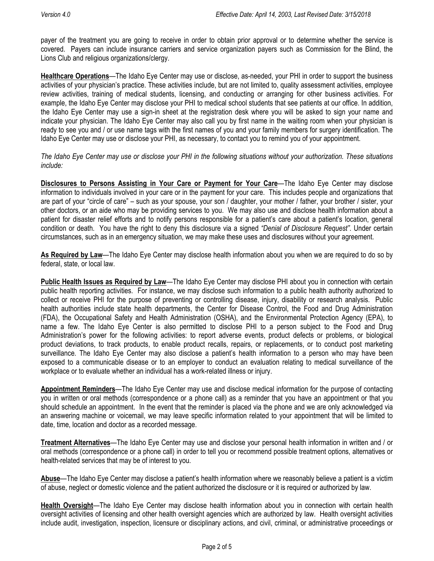payer of the treatment you are going to receive in order to obtain prior approval or to determine whether the service is covered. Payers can include insurance carriers and service organization payers such as Commission for the Blind, the Lions Club and religious organizations/clergy.

**Healthcare Operations**—The Idaho Eye Center may use or disclose, as-needed, your PHI in order to support the business activities of your physician's practice. These activities include, but are not limited to, quality assessment activities, employee review activities, training of medical students, licensing, and conducting or arranging for other business activities. For example, the Idaho Eye Center may disclose your PHI to medical school students that see patients at our office. In addition, the Idaho Eye Center may use a sign-in sheet at the registration desk where you will be asked to sign your name and indicate your physician. The Idaho Eye Center may also call you by first name in the waiting room when your physician is ready to see you and / or use name tags with the first names of you and your family members for surgery identification. The Idaho Eye Center may use or disclose your PHI, as necessary, to contact you to remind you of your appointment.

*The Idaho Eye Center may use or disclose your PHI in the following situations without your authorization. These situations include:* 

**Disclosures to Persons Assisting in Your Care or Payment for Your Care**—The Idaho Eye Center may disclose information to individuals involved in your care or in the payment for your care. This includes people and organizations that are part of your "circle of care" – such as your spouse, your son / daughter, your mother / father, your brother / sister, your other doctors, or an aide who may be providing services to you. We may also use and disclose health information about a patient for disaster relief efforts and to notify persons responsible for a patient's care about a patient's location, general condition or death. You have the right to deny this disclosure via a signed *"Denial of Disclosure Request"*. Under certain circumstances, such as in an emergency situation, we may make these uses and disclosures without your agreement.

**As Required by Law**—The Idaho Eye Center may disclose health information about you when we are required to do so by federal, state, or local law.

**Public Health Issues as Required by Law**—The Idaho Eye Center may disclose PHI about you in connection with certain public health reporting activities. For instance, we may disclose such information to a public health authority authorized to collect or receive PHI for the purpose of preventing or controlling disease, injury, disability or research analysis. Public health authorities include state health departments, the Center for Disease Control, the Food and Drug Administration (FDA), the Occupational Safety and Health Administration (OSHA), and the Environmental Protection Agency (EPA), to name a few. The Idaho Eye Center is also permitted to disclose PHI to a person subject to the Food and Drug Administration's power for the following activities: to report adverse events, product defects or problems, or biological product deviations, to track products, to enable product recalls, repairs, or replacements, or to conduct post marketing surveillance. The Idaho Eye Center may also disclose a patient's health information to a person who may have been exposed to a communicable disease or to an employer to conduct an evaluation relating to medical surveillance of the workplace or to evaluate whether an individual has a work-related illness or injury.

**Appointment Reminders**—The Idaho Eye Center may use and disclose medical information for the purpose of contacting you in written or oral methods (correspondence or a phone call) as a reminder that you have an appointment or that you should schedule an appointment. In the event that the reminder is placed via the phone and we are only acknowledged via an answering machine or voicemail, we may leave specific information related to your appointment that will be limited to date, time, location and doctor as a recorded message.

**Treatment Alternatives**—The Idaho Eye Center may use and disclose your personal health information in written and / or oral methods (correspondence or a phone call) in order to tell you or recommend possible treatment options, alternatives or health-related services that may be of interest to you.

**Abuse**—The Idaho Eye Center may disclose a patient's health information where we reasonably believe a patient is a victim of abuse, neglect or domestic violence and the patient authorized the disclosure or it is required or authorized by law.

**Health Oversight**—The Idaho Eye Center may disclose health information about you in connection with certain health oversight activities of licensing and other health oversight agencies which are authorized by law. Health oversight activities include audit, investigation, inspection, licensure or disciplinary actions, and civil, criminal, or administrative proceedings or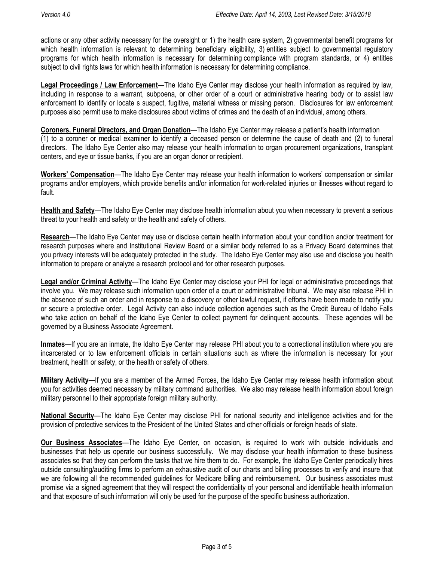actions or any other activity necessary for the oversight or 1) the health care system, 2) governmental benefit programs for which health information is relevant to determining beneficiary eligibility, 3) entities subject to governmental regulatory programs for which health information is necessary for determining compliance with program standards, or 4) entitles subject to civil rights laws for which health information is necessary for determining compliance.

**Legal Proceedings / Law Enforcement**—The Idaho Eye Center may disclose your health information as required by law, including in response to a warrant, subpoena, or other order of a court or administrative hearing body or to assist law enforcement to identify or locate s suspect, fugitive, material witness or missing person. Disclosures for law enforcement purposes also permit use to make disclosures about victims of crimes and the death of an individual, among others.

**Coroners, Funeral Directors, and Organ Donation**—The Idaho Eye Center may release a patient's health information (1) to a coroner or medical examiner to identify a deceased person or determine the cause of death and (2) to funeral directors. The Idaho Eye Center also may release your health information to organ procurement organizations, transplant centers, and eye or tissue banks, if you are an organ donor or recipient.

**Workers' Compensation**—The Idaho Eye Center may release your health information to workers' compensation or similar programs and/or employers, which provide benefits and/or information for work-related injuries or illnesses without regard to fault.

**Health and Safety**—The Idaho Eye Center may disclose health information about you when necessary to prevent a serious threat to your health and safety or the health and safety of others.

**Research**—The Idaho Eye Center may use or disclose certain health information about your condition and/or treatment for research purposes where and Institutional Review Board or a similar body referred to as a Privacy Board determines that you privacy interests will be adequately protected in the study. The Idaho Eye Center may also use and disclose you health information to prepare or analyze a research protocol and for other research purposes.

**Legal and/or Criminal Activity**—The Idaho Eye Center may disclose your PHI for legal or administrative proceedings that involve you. We may release such information upon order of a court or administrative tribunal. We may also release PHI in the absence of such an order and in response to a discovery or other lawful request, if efforts have been made to notify you or secure a protective order. Legal Activity can also include collection agencies such as the Credit Bureau of Idaho Falls who take action on behalf of the Idaho Eye Center to collect payment for delinquent accounts. These agencies will be governed by a Business Associate Agreement.

**Inmates**—If you are an inmate, the Idaho Eye Center may release PHI about you to a correctional institution where you are incarcerated or to law enforcement officials in certain situations such as where the information is necessary for your treatment, health or safety, or the health or safety of others.

**Military Activity**—If you are a member of the Armed Forces, the Idaho Eye Center may release health information about you for activities deemed necessary by military command authorities. We also may release health information about foreign military personnel to their appropriate foreign military authority.

**National Security**—The Idaho Eye Center may disclose PHI for national security and intelligence activities and for the provision of protective services to the President of the United States and other officials or foreign heads of state.

**Our Business Associates**—The Idaho Eye Center, on occasion, is required to work with outside individuals and businesses that help us operate our business successfully. We may disclose your health information to these business associates so that they can perform the tasks that we hire them to do. For example, the Idaho Eye Center periodically hires outside consulting/auditing firms to perform an exhaustive audit of our charts and billing processes to verify and insure that we are following all the recommended guidelines for Medicare billing and reimbursement. Our business associates must promise via a signed agreement that they will respect the confidentiality of your personal and identifiable health information and that exposure of such information will only be used for the purpose of the specific business authorization.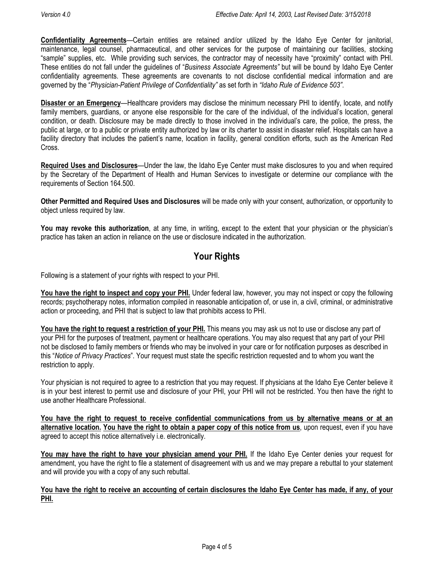**Confidentiality Agreements**—Certain entities are retained and/or utilized by the Idaho Eye Center for janitorial, maintenance, legal counsel, pharmaceutical, and other services for the purpose of maintaining our facilities, stocking "sample" supplies, etc. While providing such services, the contractor may of necessity have "proximity" contact with PHI. These entities do not fall under the guidelines of "*Business Associate Agreements"* but will be bound by Idaho Eye Center confidentiality agreements. These agreements are covenants to not disclose confidential medical information and are governed by the "*Physician-Patient Privilege of Confidentiality"* as set forth in *"Idaho Rule of Evidence 503"*.

**Disaster or an Emergency**—Healthcare providers may disclose the minimum necessary PHI to identify, locate, and notify family members, guardians, or anyone else responsible for the care of the individual, of the individual's location, general condition, or death. Disclosure may be made directly to those involved in the individual's care, the police, the press, the public at large, or to a public or private entity authorized by law or its charter to assist in disaster relief. Hospitals can have a facility directory that includes the patient's name, location in facility, general condition efforts, such as the American Red Cross.

**Required Uses and Disclosures**—Under the law, the Idaho Eye Center must make disclosures to you and when required by the Secretary of the Department of Health and Human Services to investigate or determine our compliance with the requirements of Section 164.500.

**Other Permitted and Required Uses and Disclosures** will be made only with your consent, authorization, or opportunity to object unless required by law.

**You may revoke this authorization**, at any time, in writing, except to the extent that your physician or the physician's practice has taken an action in reliance on the use or disclosure indicated in the authorization.

## **Your Rights**

Following is a statement of your rights with respect to your PHI.

You have the right to inspect and copy your PHI. Under federal law, however, you may not inspect or copy the following records; psychotherapy notes, information compiled in reasonable anticipation of, or use in, a civil, criminal, or administrative action or proceeding, and PHI that is subject to law that prohibits access to PHI.

**You have the right to request a restriction of your PHI.** This means you may ask us not to use or disclose any part of your PHI for the purposes of treatment, payment or healthcare operations. You may also request that any part of your PHI not be disclosed to family members or friends who may be involved in your care or for notification purposes as described in this "*Notice of Privacy Practices*". Your request must state the specific restriction requested and to whom you want the restriction to apply.

Your physician is not required to agree to a restriction that you may request. If physicians at the Idaho Eye Center believe it is in your best interest to permit use and disclosure of your PHI, your PHI will not be restricted. You then have the right to use another Healthcare Professional.

**You have the right to request to receive confidential communications from us by alternative means or at an alternative location. You have the right to obtain a paper copy of this notice from us**, upon request, even if you have agreed to accept this notice alternatively i.e. electronically.

**You may have the right to have your physician amend your PHI.** If the Idaho Eye Center denies your request for amendment, you have the right to file a statement of disagreement with us and we may prepare a rebuttal to your statement and will provide you with a copy of any such rebuttal.

#### **You have the right to receive an accounting of certain disclosures the Idaho Eye Center has made, if any, of your PHI.**